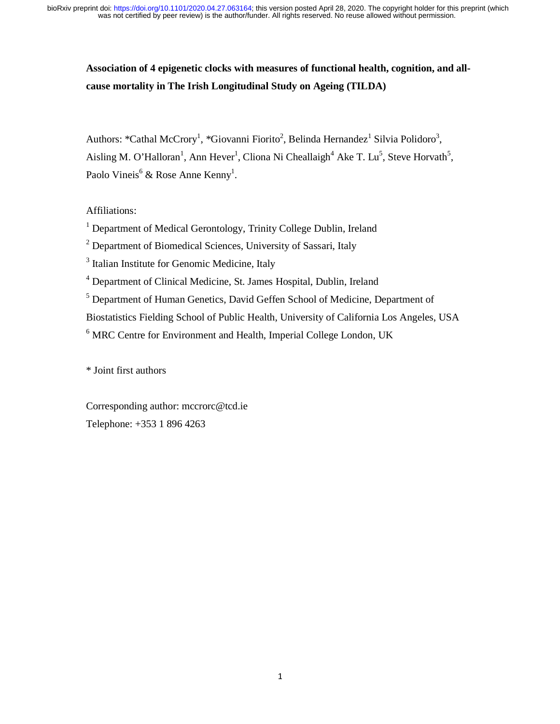# **Association of 4 epigenetic clocks with measures of functional health, cognition, and allcause mortality in The Irish Longitudinal Study on Ageing (TILDA)**

Authors: \*Cathal McCrory<sup>1</sup>, \*Giovanni Fiorito<sup>2</sup>, Belinda Hernandez<sup>1</sup> Silvia Polidoro<sup>3</sup>, Aisling M. O'Halloran<sup>1</sup>, Ann Hever<sup>1</sup>, Cliona Ni Cheallaigh<sup>4</sup> Ake T. Lu<sup>5</sup>, Steve Horvath<sup>5</sup>, Paolo Vineis<sup>6</sup> & Rose Anne Kenny<sup>1</sup>.

# Affiliations:

<sup>1</sup> Department of Medical Gerontology, Trinity College Dublin, Ireland

<sup>2</sup> Department of Biomedical Sciences, University of Sassari, Italy

<sup>3</sup> Italian Institute for Genomic Medicine, Italy

<sup>4</sup> Department of Clinical Medicine, St. James Hospital, Dublin, Ireland

<sup>5</sup> Department of Human Genetics, David Geffen School of Medicine, Department of

Biostatistics Fielding School of Public Health, University of California Los Angeles, USA

<sup>6</sup> MRC Centre for Environment and Health, Imperial College London, UK

\* Joint first authors

Corresponding author: mccrorc@tcd.ie Telephone: +353 1 896 4263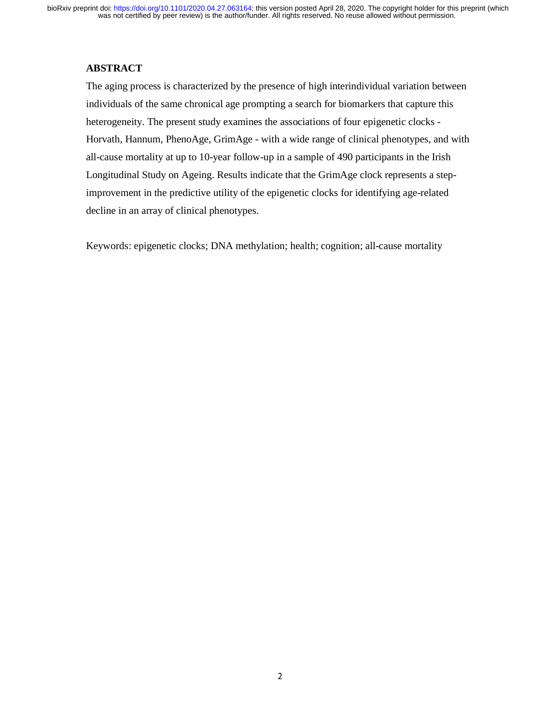# **ABSTRACT**

The aging process is characterized by the presence of high interindividual variation between individuals of the same chronical age prompting a search for biomarkers that capture this heterogeneity. The present study examines the associations of four epigenetic clocks - Horvath, Hannum, PhenoAge, GrimAge - with a wide range of clinical phenotypes, and with all-cause mortality at up to 10-year follow-up in a sample of 490 participants in the Irish Longitudinal Study on Ageing. Results indicate that the GrimAge clock represents a stepimprovement in the predictive utility of the epigenetic clocks for identifying age-related decline in an array of clinical phenotypes.

Keywords: epigenetic clocks; DNA methylation; health; cognition; all-cause mortality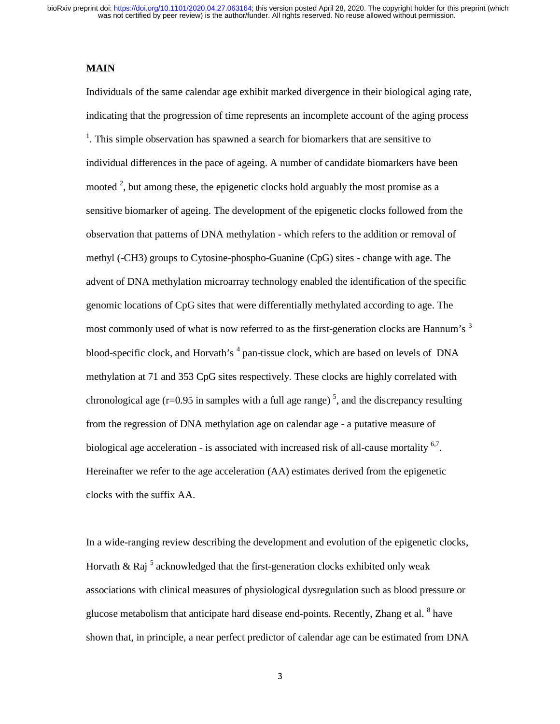was not certified by peer review) is the author/funder. All rights reserved. No reuse allowed without permission. bioRxiv preprint doi: [https://doi.org/10.1101/2020.04.27.063164;](https://doi.org/10.1101/2020.04.27.063164) this version posted April 28, 2020. The copyright holder for this preprint (which

#### **MAIN**

Individuals of the same calendar age exhibit marked divergence in their biological aging rate, indicating that the progression of time represents an incomplete account of the aging process  $<sup>1</sup>$ . This simple observation has spawned a search for biomarkers that are sensitive to</sup> individual differences in the pace of ageing. A number of candidate biomarkers have been mooted  $\alpha^2$ , but among these, the epigenetic clocks hold arguably the most promise as a sensitive biomarker of ageing. The development of the epigenetic clocks followed from the observation that patterns of DNA methylation - which refers to the addition or removal of methyl (-CH3) groups to Cytosine-phospho-Guanine (CpG) sites - change with age. The advent of DNA methylation microarray technology enabled the identification of the specific genomic locations of CpG sites that were differentially methylated according to age. The most commonly used of what is now referred to as the first-generation clocks are Hannum's <sup>3</sup> blood-specific clock, and Horvath's <sup>4</sup> pan-tissue clock, which are based on levels of DNA methylation at 71 and 353 CpG sites respectively. These clocks are highly correlated with chronological age ( $r=0.95$  in samples with a full age range)<sup>5</sup>, and the discrepancy resulting from the regression of DNA methylation age on calendar age - a putative measure of biological age acceleration - is associated with increased risk of all-cause mortality  $6,7$ . Hereinafter we refer to the age acceleration (AA) estimates derived from the epigenetic clocks with the suffix AA.

In a wide-ranging review describing the development and evolution of the epigenetic clocks, Horvath & Raj<sup>5</sup> acknowledged that the first-generation clocks exhibited only weak associations with clinical measures of physiological dysregulation such as blood pressure or glucose metabolism that anticipate hard disease end-points. Recently, Zhang et al. <sup>8</sup> have shown that, in principle, a near perfect predictor of calendar age can be estimated from DNA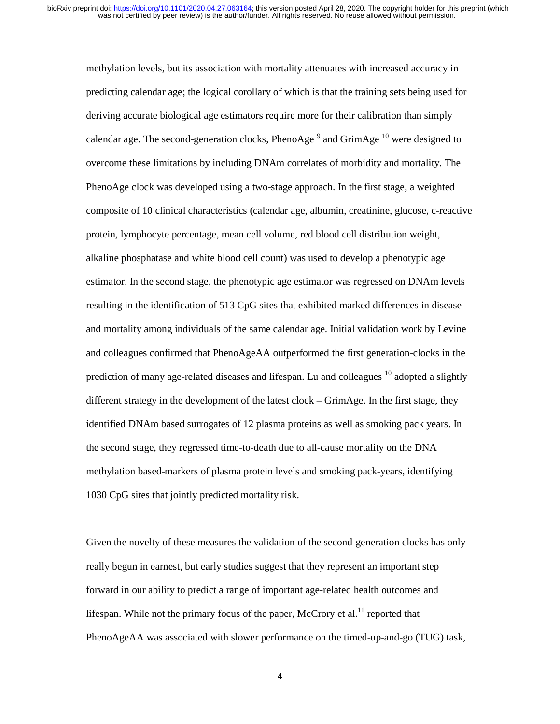methylation levels, but its association with mortality attenuates with increased accuracy in predicting calendar age; the logical corollary of which is that the training sets being used for deriving accurate biological age estimators require more for their calibration than simply calendar age. The second-generation clocks, PhenoAge  $^9$  and GrimAge  $^{10}$  were designed to overcome these limitations by including DNAm correlates of morbidity and mortality. The PhenoAge clock was developed using a two-stage approach. In the first stage, a weighted composite of 10 clinical characteristics (calendar age, albumin, creatinine, glucose, c-reactive protein, lymphocyte percentage, mean cell volume, red blood cell distribution weight, alkaline phosphatase and white blood cell count) was used to develop a phenotypic age estimator. In the second stage, the phenotypic age estimator was regressed on DNAm levels resulting in the identification of 513 CpG sites that exhibited marked differences in disease and mortality among individuals of the same calendar age. Initial validation work by Levine and colleagues confirmed that PhenoAgeAA outperformed the first generation-clocks in the prediction of many age-related diseases and lifespan. Lu and colleagues  $10$  adopted a slightly different strategy in the development of the latest clock – GrimAge. In the first stage, they identified DNAm based surrogates of 12 plasma proteins as well as smoking pack years. In the second stage, they regressed time-to-death due to all-cause mortality on the DNA methylation based-markers of plasma protein levels and smoking pack-years, identifying 1030 CpG sites that jointly predicted mortality risk.

Given the novelty of these measures the validation of the second-generation clocks has only really begun in earnest, but early studies suggest that they represent an important step forward in our ability to predict a range of important age-related health outcomes and lifespan. While not the primary focus of the paper, McCrory et al.<sup>11</sup> reported that PhenoAgeAA was associated with slower performance on the timed-up-and-go (TUG) task,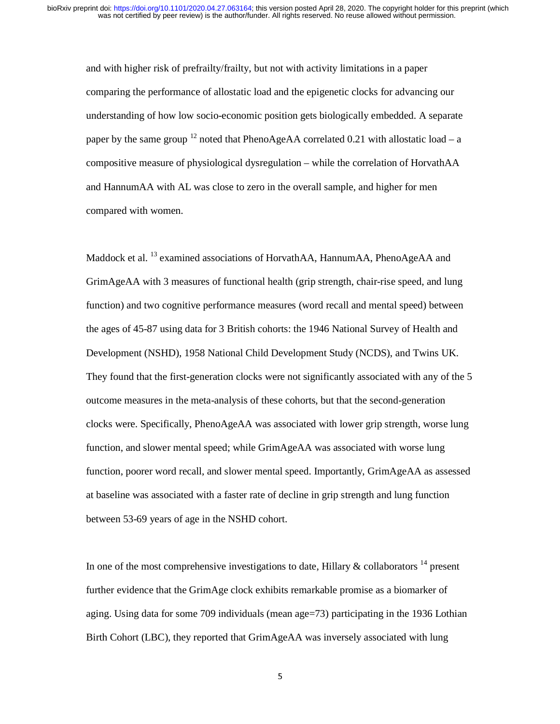and with higher risk of prefrailty/frailty, but not with activity limitations in a paper comparing the performance of allostatic load and the epigenetic clocks for advancing our understanding of how low socio-economic position gets biologically embedded. A separate paper by the same group <sup>12</sup> noted that PhenoAgeAA correlated 0.21 with allostatic load – a compositive measure of physiological dysregulation – while the correlation of HorvathAA and HannumAA with AL was close to zero in the overall sample, and higher for men compared with women.

Maddock et al. <sup>13</sup> examined associations of HorvathAA, HannumAA, PhenoAgeAA and GrimAgeAA with 3 measures of functional health (grip strength, chair-rise speed, and lung function) and two cognitive performance measures (word recall and mental speed) between the ages of 45-87 using data for 3 British cohorts: the 1946 National Survey of Health and Development (NSHD), 1958 National Child Development Study (NCDS), and Twins UK. They found that the first-generation clocks were not significantly associated with any of the 5 outcome measures in the meta-analysis of these cohorts, but that the second-generation clocks were. Specifically, PhenoAgeAA was associated with lower grip strength, worse lung function, and slower mental speed; while GrimAgeAA was associated with worse lung function, poorer word recall, and slower mental speed. Importantly, GrimAgeAA as assessed at baseline was associated with a faster rate of decline in grip strength and lung function between 53-69 years of age in the NSHD cohort.

In one of the most comprehensive investigations to date, Hillary  $\&$  collaborators  $^{14}$  present further evidence that the GrimAge clock exhibits remarkable promise as a biomarker of aging. Using data for some 709 individuals (mean age=73) participating in the 1936 Lothian Birth Cohort (LBC), they reported that GrimAgeAA was inversely associated with lung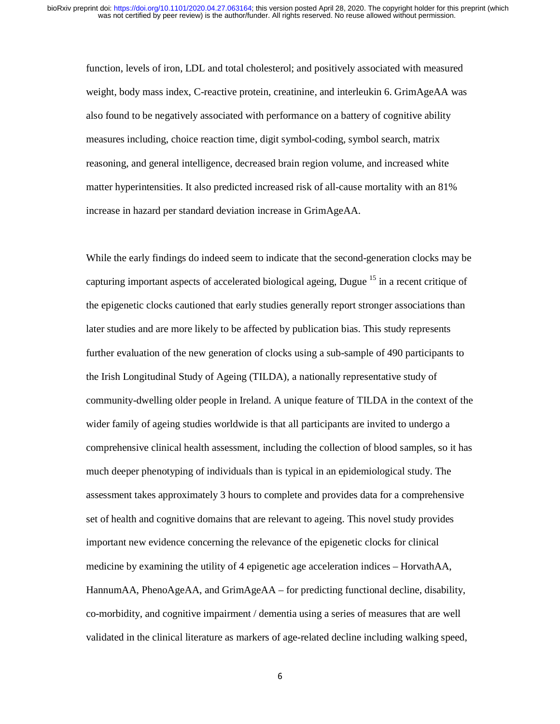function, levels of iron, LDL and total cholesterol; and positively associated with measured weight, body mass index, C-reactive protein, creatinine, and interleukin 6. GrimAgeAA was also found to be negatively associated with performance on a battery of cognitive ability measures including, choice reaction time, digit symbol-coding, symbol search, matrix reasoning, and general intelligence, decreased brain region volume, and increased white matter hyperintensities. It also predicted increased risk of all-cause mortality with an 81% increase in hazard per standard deviation increase in GrimAgeAA.

While the early findings do indeed seem to indicate that the second-generation clocks may be capturing important aspects of accelerated biological ageing, Dugue  $15$  in a recent critique of the epigenetic clocks cautioned that early studies generally report stronger associations than later studies and are more likely to be affected by publication bias. This study represents further evaluation of the new generation of clocks using a sub-sample of 490 participants to the Irish Longitudinal Study of Ageing (TILDA), a nationally representative study of community-dwelling older people in Ireland. A unique feature of TILDA in the context of the wider family of ageing studies worldwide is that all participants are invited to undergo a comprehensive clinical health assessment, including the collection of blood samples, so it has much deeper phenotyping of individuals than is typical in an epidemiological study. The assessment takes approximately 3 hours to complete and provides data for a comprehensive set of health and cognitive domains that are relevant to ageing. This novel study provides important new evidence concerning the relevance of the epigenetic clocks for clinical medicine by examining the utility of 4 epigenetic age acceleration indices – HorvathAA, HannumAA, PhenoAgeAA, and GrimAgeAA – for predicting functional decline, disability, co-morbidity, and cognitive impairment / dementia using a series of measures that are well validated in the clinical literature as markers of age-related decline including walking speed,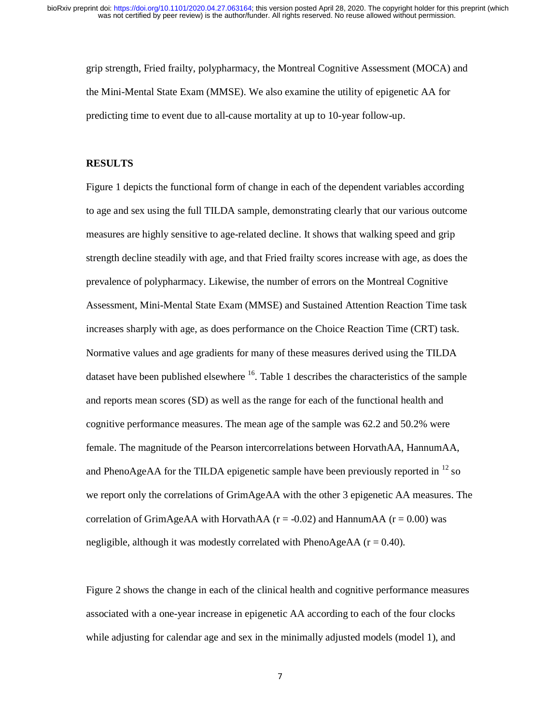grip strength, Fried frailty, polypharmacy, the Montreal Cognitive Assessment (MOCA) and the Mini-Mental State Exam (MMSE). We also examine the utility of epigenetic AA for predicting time to event due to all-cause mortality at up to 10-year follow-up.

### **RESULTS**

Figure 1 depicts the functional form of change in each of the dependent variables according to age and sex using the full TILDA sample, demonstrating clearly that our various outcome measures are highly sensitive to age-related decline. It shows that walking speed and grip strength decline steadily with age, and that Fried frailty scores increase with age, as does the prevalence of polypharmacy. Likewise, the number of errors on the Montreal Cognitive Assessment, Mini-Mental State Exam (MMSE) and Sustained Attention Reaction Time task increases sharply with age, as does performance on the Choice Reaction Time (CRT) task. Normative values and age gradients for many of these measures derived using the TILDA dataset have been published elsewhere  $16$ . Table 1 describes the characteristics of the sample and reports mean scores (SD) as well as the range for each of the functional health and cognitive performance measures. The mean age of the sample was 62.2 and 50.2% were female. The magnitude of the Pearson intercorrelations between HorvathAA, HannumAA, and PhenoAgeAA for the TILDA epigenetic sample have been previously reported in  $^{12}$  so we report only the correlations of GrimAgeAA with the other 3 epigenetic AA measures. The correlation of GrimAgeAA with HorvathAA ( $r = -0.02$ ) and HannumAA ( $r = 0.00$ ) was negligible, although it was modestly correlated with PhenoAgeAA ( $r = 0.40$ ).

Figure 2 shows the change in each of the clinical health and cognitive performance measures associated with a one-year increase in epigenetic AA according to each of the four clocks while adjusting for calendar age and sex in the minimally adjusted models (model 1), and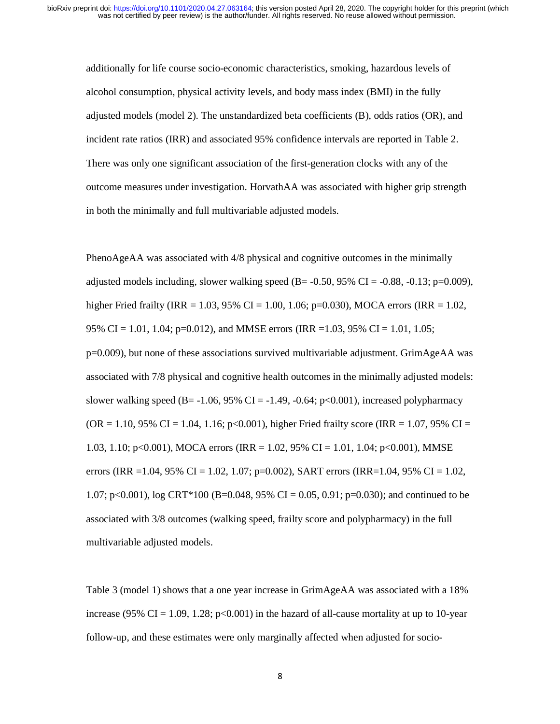additionally for life course socio-economic characteristics, smoking, hazardous levels of alcohol consumption, physical activity levels, and body mass index (BMI) in the fully adjusted models (model 2). The unstandardized beta coefficients (B), odds ratios (OR), and incident rate ratios (IRR) and associated 95% confidence intervals are reported in Table 2. There was only one significant association of the first-generation clocks with any of the outcome measures under investigation. HorvathAA was associated with higher grip strength in both the minimally and full multivariable adjusted models.

PhenoAgeAA was associated with 4/8 physical and cognitive outcomes in the minimally adjusted models including, slower walking speed  $(B = -0.50, 95\% \text{ CI} = -0.88, -0.13; \text{p} = 0.009)$ , higher Fried frailty (IRR = 1.03, 95% CI = 1.00, 1.06; p=0.030), MOCA errors (IRR = 1.02, 95% CI = 1.01, 1.04; p=0.012), and MMSE errors (IRR =1.03, 95% CI = 1.01, 1.05; p=0.009), but none of these associations survived multivariable adjustment. GrimAgeAA was associated with 7/8 physical and cognitive health outcomes in the minimally adjusted models: slower walking speed (B= -1.06, 95% CI = -1.49, -0.64; p<0.001), increased polypharmacy  $(OR = 1.10, 95\% \text{ CI} = 1.04, 1.16; \text{p} < 0.001)$ , higher Fried frailty score (IRR = 1.07, 95% CI = 1.03, 1.10; p<0.001), MOCA errors (IRR = 1.02, 95% CI = 1.01, 1.04; p<0.001), MMSE errors (IRR = 1.04, 95% CI = 1.02, 1.07; p=0.002), SART errors (IRR=1.04, 95% CI = 1.02, 1.07; p<0.001), log CRT\*100 (B=0.048, 95% CI = 0.05, 0.91; p=0.030); and continued to be associated with 3/8 outcomes (walking speed, frailty score and polypharmacy) in the full multivariable adjusted models.

Table 3 (model 1) shows that a one year increase in GrimAgeAA was associated with a 18% increase (95% CI = 1.09, 1.28; p<0.001) in the hazard of all-cause mortality at up to 10-year follow-up, and these estimates were only marginally affected when adjusted for socio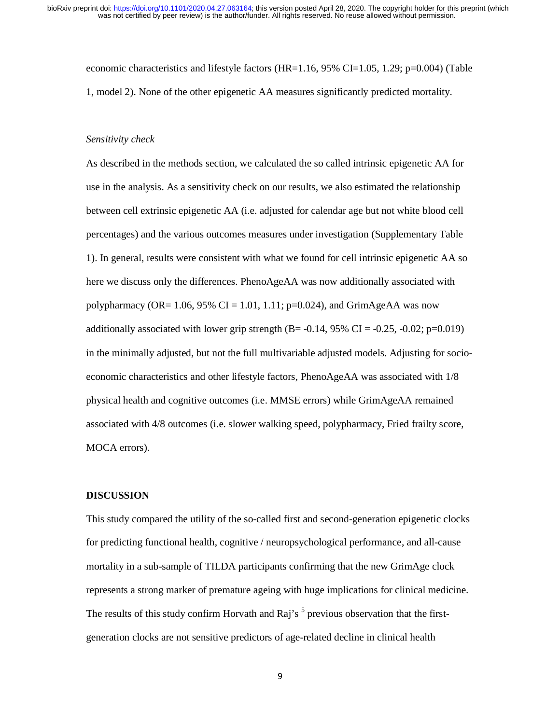economic characteristics and lifestyle factors (HR=1.16, 95% CI=1.05, 1.29; p=0.004) (Table 1, model 2). None of the other epigenetic AA measures significantly predicted mortality.

#### *Sensitivity check*

As described in the methods section, we calculated the so called intrinsic epigenetic AA for use in the analysis. As a sensitivity check on our results, we also estimated the relationship between cell extrinsic epigenetic AA (i.e. adjusted for calendar age but not white blood cell percentages) and the various outcomes measures under investigation (Supplementary Table 1). In general, results were consistent with what we found for cell intrinsic epigenetic AA so here we discuss only the differences. PhenoAgeAA was now additionally associated with polypharmacy (OR=  $1.06$ , 95% CI =  $1.01$ ,  $1.11$ ; p=0.024), and GrimAgeAA was now additionally associated with lower grip strength  $(B=-0.14, 95\% \text{ CI}=-0.25, -0.02; \text{p}=\text{0.019})$ in the minimally adjusted, but not the full multivariable adjusted models. Adjusting for socioeconomic characteristics and other lifestyle factors, PhenoAgeAA was associated with 1/8 physical health and cognitive outcomes (i.e. MMSE errors) while GrimAgeAA remained associated with 4/8 outcomes (i.e. slower walking speed, polypharmacy, Fried frailty score, MOCA errors).

#### **DISCUSSION**

This study compared the utility of the so-called first and second-generation epigenetic clocks for predicting functional health, cognitive / neuropsychological performance, and all-cause mortality in a sub-sample of TILDA participants confirming that the new GrimAge clock represents a strong marker of premature ageing with huge implications for clinical medicine. The results of this study confirm Horvath and Raj's  $<sup>5</sup>$  previous observation that the first-</sup> generation clocks are not sensitive predictors of age-related decline in clinical health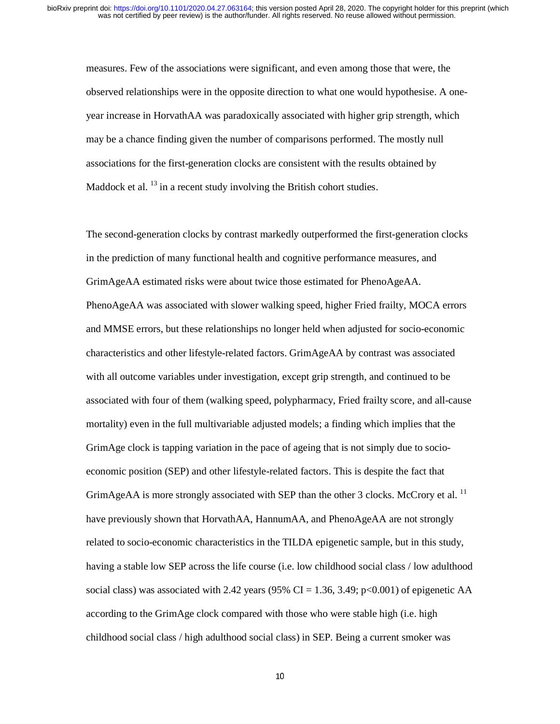measures. Few of the associations were significant, and even among those that were, the observed relationships were in the opposite direction to what one would hypothesise. A oneyear increase in HorvathAA was paradoxically associated with higher grip strength, which may be a chance finding given the number of comparisons performed. The mostly null associations for the first-generation clocks are consistent with the results obtained by Maddock et al.  $^{13}$  in a recent study involving the British cohort studies.

The second-generation clocks by contrast markedly outperformed the first-generation clocks in the prediction of many functional health and cognitive performance measures, and GrimAgeAA estimated risks were about twice those estimated for PhenoAgeAA. PhenoAgeAA was associated with slower walking speed, higher Fried frailty, MOCA errors and MMSE errors, but these relationships no longer held when adjusted for socio-economic characteristics and other lifestyle-related factors. GrimAgeAA by contrast was associated with all outcome variables under investigation, except grip strength, and continued to be associated with four of them (walking speed, polypharmacy, Fried frailty score, and all-cause mortality) even in the full multivariable adjusted models; a finding which implies that the GrimAge clock is tapping variation in the pace of ageing that is not simply due to socioeconomic position (SEP) and other lifestyle-related factors. This is despite the fact that GrimAgeAA is more strongly associated with SEP than the other 3 clocks. McCrory et al.<sup>11</sup> have previously shown that HorvathAA, HannumAA, and PhenoAgeAA are not strongly related to socio-economic characteristics in the TILDA epigenetic sample, but in this study, having a stable low SEP across the life course (i.e. low childhood social class / low adulthood social class) was associated with 2.42 years (95% CI = 1.36, 3.49; p<0.001) of epigenetic AA according to the GrimAge clock compared with those who were stable high (i.e. high childhood social class / high adulthood social class) in SEP. Being a current smoker was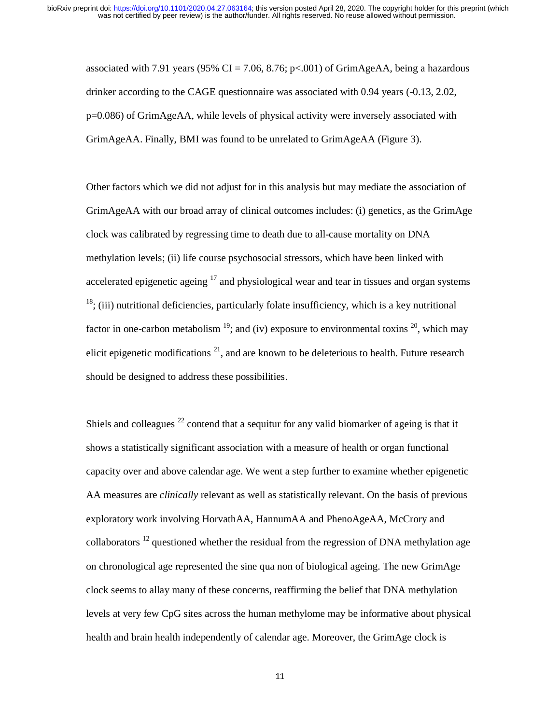associated with 7.91 years (95% CI = 7.06, 8.76; p<.001) of GrimAgeAA, being a hazardous drinker according to the CAGE questionnaire was associated with 0.94 years (-0.13, 2.02, p=0.086) of GrimAgeAA, while levels of physical activity were inversely associated with GrimAgeAA. Finally, BMI was found to be unrelated to GrimAgeAA (Figure 3).

Other factors which we did not adjust for in this analysis but may mediate the association of GrimAgeAA with our broad array of clinical outcomes includes: (i) genetics, as the GrimAge clock was calibrated by regressing time to death due to all-cause mortality on DNA methylation levels; (ii) life course psychosocial stressors, which have been linked with accelerated epigenetic ageing  $17$  and physiological wear and tear in tissues and organ systems  $18$ ; (iii) nutritional deficiencies, particularly folate insufficiency, which is a key nutritional factor in one-carbon metabolism  $^{19}$ ; and (iv) exposure to environmental toxins  $^{20}$ , which may elicit epigenetic modifications  $2<sup>1</sup>$ , and are known to be deleterious to health. Future research should be designed to address these possibilities.

Shiels and colleagues  $^{22}$  contend that a sequitur for any valid biomarker of ageing is that it shows a statistically significant association with a measure of health or organ functional capacity over and above calendar age. We went a step further to examine whether epigenetic AA measures are *clinically* relevant as well as statistically relevant. On the basis of previous exploratory work involving HorvathAA, HannumAA and PhenoAgeAA, McCrory and collaborators  $^{12}$  questioned whether the residual from the regression of DNA methylation age on chronological age represented the sine qua non of biological ageing. The new GrimAge clock seems to allay many of these concerns, reaffirming the belief that DNA methylation levels at very few CpG sites across the human methylome may be informative about physical health and brain health independently of calendar age. Moreover, the GrimAge clock is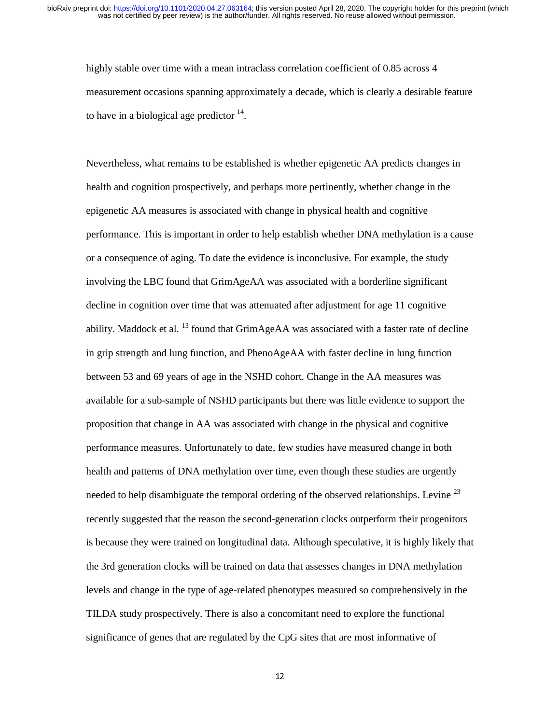highly stable over time with a mean intraclass correlation coefficient of 0.85 across 4 measurement occasions spanning approximately a decade, which is clearly a desirable feature to have in a biological age predictor  $14$ .

Nevertheless, what remains to be established is whether epigenetic AA predicts changes in health and cognition prospectively, and perhaps more pertinently, whether change in the epigenetic AA measures is associated with change in physical health and cognitive performance. This is important in order to help establish whether DNA methylation is a cause or a consequence of aging. To date the evidence is inconclusive. For example, the study involving the LBC found that GrimAgeAA was associated with a borderline significant decline in cognition over time that was attenuated after adjustment for age 11 cognitive ability. Maddock et al.  $^{13}$  found that GrimAgeAA was associated with a faster rate of decline in grip strength and lung function, and PhenoAgeAA with faster decline in lung function between 53 and 69 years of age in the NSHD cohort. Change in the AA measures was available for a sub-sample of NSHD participants but there was little evidence to support the proposition that change in AA was associated with change in the physical and cognitive performance measures. Unfortunately to date, few studies have measured change in both health and patterns of DNA methylation over time, even though these studies are urgently needed to help disambiguate the temporal ordering of the observed relationships. Levine<sup>23</sup> recently suggested that the reason the second-generation clocks outperform their progenitors is because they were trained on longitudinal data. Although speculative, it is highly likely that the 3rd generation clocks will be trained on data that assesses changes in DNA methylation levels and change in the type of age-related phenotypes measured so comprehensively in the TILDA study prospectively. There is also a concomitant need to explore the functional significance of genes that are regulated by the CpG sites that are most informative of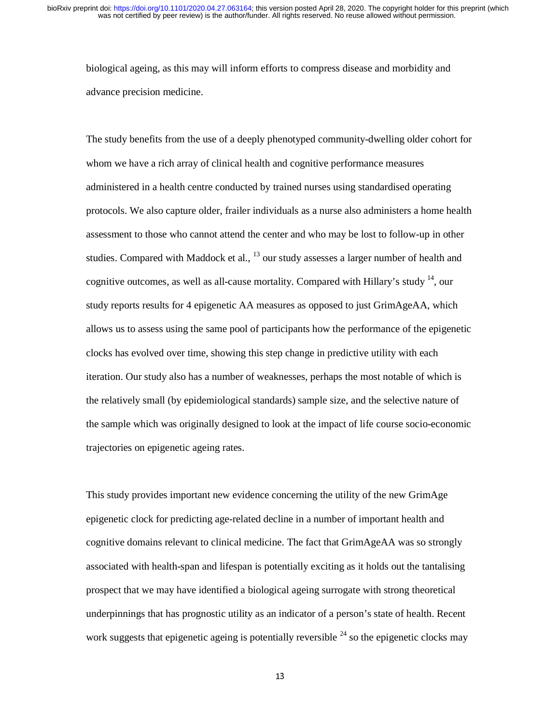biological ageing, as this may will inform efforts to compress disease and morbidity and advance precision medicine.

The study benefits from the use of a deeply phenotyped community-dwelling older cohort for whom we have a rich array of clinical health and cognitive performance measures administered in a health centre conducted by trained nurses using standardised operating protocols. We also capture older, frailer individuals as a nurse also administers a home health assessment to those who cannot attend the center and who may be lost to follow-up in other studies. Compared with Maddock et al.,  $^{13}$  our study assesses a larger number of health and cognitive outcomes, as well as all-cause mortality. Compared with Hillary's study <sup>14</sup>, our study reports results for 4 epigenetic AA measures as opposed to just GrimAgeAA, which allows us to assess using the same pool of participants how the performance of the epigenetic clocks has evolved over time, showing this step change in predictive utility with each iteration. Our study also has a number of weaknesses, perhaps the most notable of which is the relatively small (by epidemiological standards) sample size, and the selective nature of the sample which was originally designed to look at the impact of life course socio-economic trajectories on epigenetic ageing rates.

This study provides important new evidence concerning the utility of the new GrimAge epigenetic clock for predicting age-related decline in a number of important health and cognitive domains relevant to clinical medicine. The fact that GrimAgeAA was so strongly associated with health-span and lifespan is potentially exciting as it holds out the tantalising prospect that we may have identified a biological ageing surrogate with strong theoretical underpinnings that has prognostic utility as an indicator of a person's state of health. Recent work suggests that epigenetic ageing is potentially reversible  $^{24}$  so the epigenetic clocks may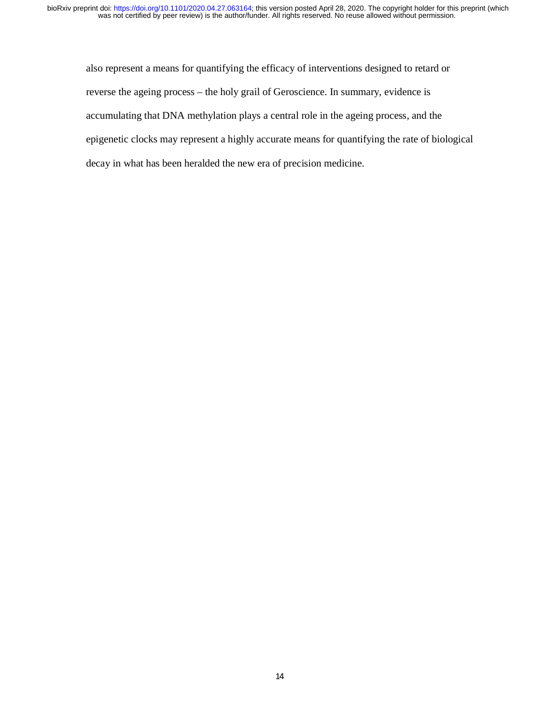also represent a means for quantifying the efficacy of interventions designed to retard or reverse the ageing process – the holy grail of Geroscience. In summary, evidence is accumulating that DNA methylation plays a central role in the ageing process, and the epigenetic clocks may represent a highly accurate means for quantifying the rate of biological decay in what has been heralded the new era of precision medicine.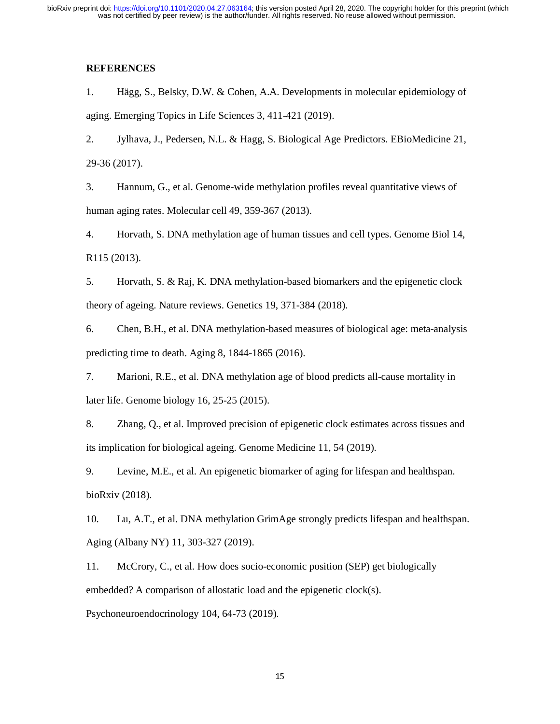### **REFERENCES**

1. Hägg, S., Belsky, D.W. & Cohen, A.A. Developments in molecular epidemiology of aging. Emerging Topics in Life Sciences 3, 411-421 (2019).

2. Jylhava, J., Pedersen, N.L. & Hagg, S. Biological Age Predictors. EBioMedicine 21, 29-36 (2017).

3. Hannum, G., et al. Genome-wide methylation profiles reveal quantitative views of human aging rates. Molecular cell 49, 359-367 (2013).

4. Horvath, S. DNA methylation age of human tissues and cell types. Genome Biol 14, R115 (2013).

5. Horvath, S. & Raj, K. DNA methylation-based biomarkers and the epigenetic clock theory of ageing. Nature reviews. Genetics 19, 371-384 (2018).

6. Chen, B.H., et al. DNA methylation-based measures of biological age: meta-analysis predicting time to death. Aging 8, 1844-1865 (2016).

7. Marioni, R.E., et al. DNA methylation age of blood predicts all-cause mortality in later life. Genome biology 16, 25-25 (2015).

8. Zhang, Q., et al. Improved precision of epigenetic clock estimates across tissues and its implication for biological ageing. Genome Medicine 11, 54 (2019).

9. Levine, M.E., et al. An epigenetic biomarker of aging for lifespan and healthspan. bioRxiv (2018).

10. Lu, A.T., et al. DNA methylation GrimAge strongly predicts lifespan and healthspan. Aging (Albany NY) 11, 303-327 (2019).

11. McCrory, C., et al. How does socio-economic position (SEP) get biologically embedded? A comparison of allostatic load and the epigenetic clock(s).

Psychoneuroendocrinology 104, 64-73 (2019).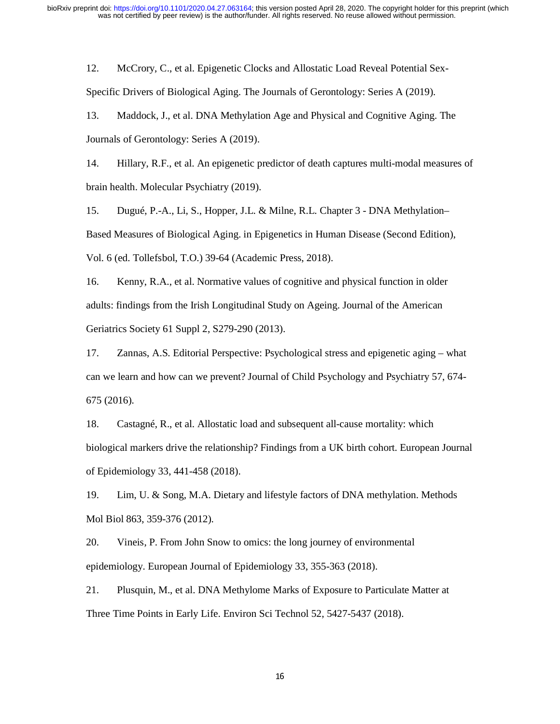12. McCrory, C., et al. Epigenetic Clocks and Allostatic Load Reveal Potential Sex-Specific Drivers of Biological Aging. The Journals of Gerontology: Series A (2019).

13. Maddock, J., et al. DNA Methylation Age and Physical and Cognitive Aging. The Journals of Gerontology: Series A (2019).

14. Hillary, R.F., et al. An epigenetic predictor of death captures multi-modal measures of brain health. Molecular Psychiatry (2019).

15. Dugué, P.-A., Li, S., Hopper, J.L. & Milne, R.L. Chapter 3 - DNA Methylation– Based Measures of Biological Aging. in Epigenetics in Human Disease (Second Edition), Vol. 6 (ed. Tollefsbol, T.O.) 39-64 (Academic Press, 2018).

16. Kenny, R.A., et al. Normative values of cognitive and physical function in older adults: findings from the Irish Longitudinal Study on Ageing. Journal of the American Geriatrics Society 61 Suppl 2, S279-290 (2013).

17. Zannas, A.S. Editorial Perspective: Psychological stress and epigenetic aging – what can we learn and how can we prevent? Journal of Child Psychology and Psychiatry 57, 674- 675 (2016).

18. Castagné, R., et al. Allostatic load and subsequent all-cause mortality: which biological markers drive the relationship? Findings from a UK birth cohort. European Journal of Epidemiology 33, 441-458 (2018).

19. Lim, U. & Song, M.A. Dietary and lifestyle factors of DNA methylation. Methods Mol Biol 863, 359-376 (2012).

20. Vineis, P. From John Snow to omics: the long journey of environmental epidemiology. European Journal of Epidemiology 33, 355-363 (2018).

21. Plusquin, M., et al. DNA Methylome Marks of Exposure to Particulate Matter at Three Time Points in Early Life. Environ Sci Technol 52, 5427-5437 (2018).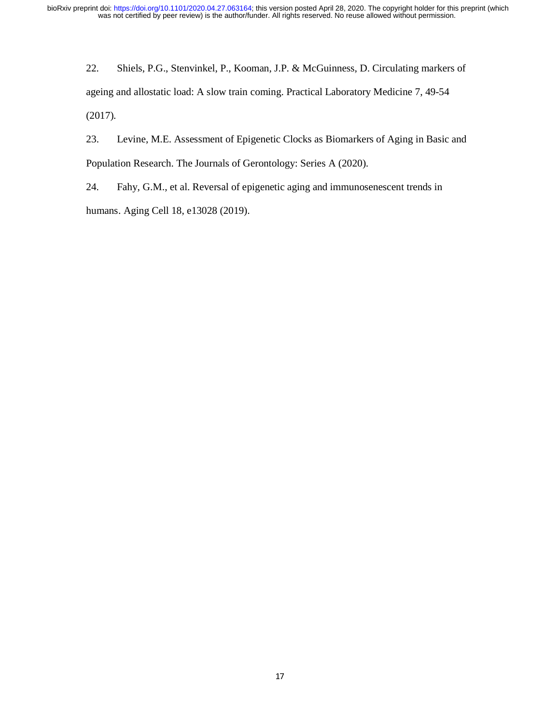22. Shiels, P.G., Stenvinkel, P., Kooman, J.P. & McGuinness, D. Circulating markers of ageing and allostatic load: A slow train coming. Practical Laboratory Medicine 7, 49-54 (2017).

23. Levine, M.E. Assessment of Epigenetic Clocks as Biomarkers of Aging in Basic and Population Research. The Journals of Gerontology: Series A (2020).

24. Fahy, G.M., et al. Reversal of epigenetic aging and immunosenescent trends in humans. Aging Cell 18, e13028 (2019).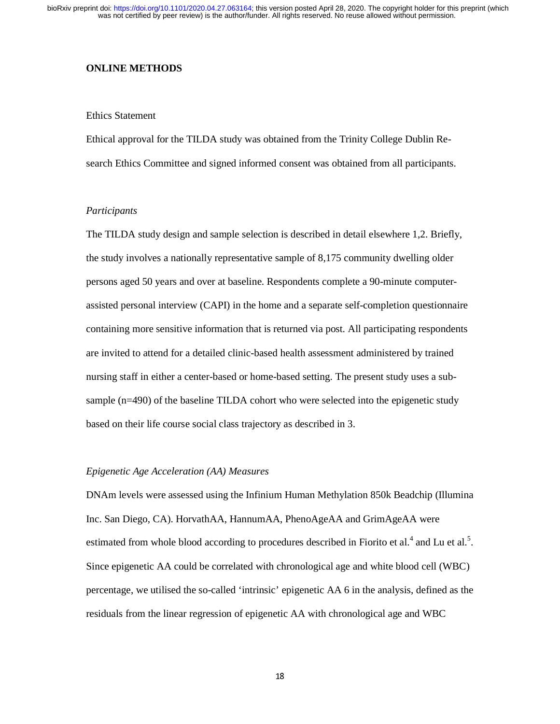#### **ONLINE METHODS**

#### Ethics Statement

Ethical approval for the TILDA study was obtained from the Trinity College Dublin Research Ethics Committee and signed informed consent was obtained from all participants.

#### *Participants*

The TILDA study design and sample selection is described in detail elsewhere 1,2. Briefly, the study involves a nationally representative sample of 8,175 community dwelling older persons aged 50 years and over at baseline. Respondents complete a 90-minute computerassisted personal interview (CAPI) in the home and a separate self-completion questionnaire containing more sensitive information that is returned via post. All participating respondents are invited to attend for a detailed clinic-based health assessment administered by trained nursing staff in either a center-based or home-based setting. The present study uses a subsample (n=490) of the baseline TILDA cohort who were selected into the epigenetic study based on their life course social class trajectory as described in 3.

#### *Epigenetic Age Acceleration (AA) Measures*

DNAm levels were assessed using the Infinium Human Methylation 850k Beadchip (Illumina Inc. San Diego, CA). HorvathAA, HannumAA, PhenoAgeAA and GrimAgeAA were estimated from whole blood according to procedures described in Fiorito et al.<sup>4</sup> and Lu et al.<sup>5</sup>. Since epigenetic AA could be correlated with chronological age and white blood cell (WBC) percentage, we utilised the so-called 'intrinsic' epigenetic AA 6 in the analysis, defined as the residuals from the linear regression of epigenetic AA with chronological age and WBC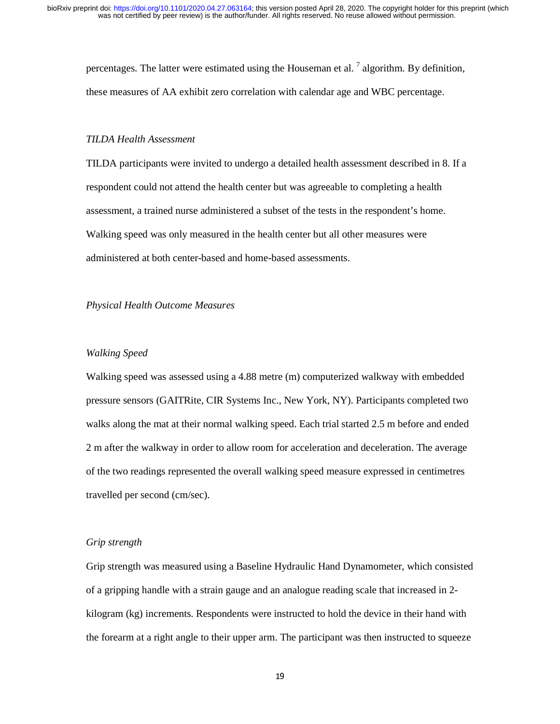percentages. The latter were estimated using the Houseman et al.  $^7$  algorithm. By definition, these measures of AA exhibit zero correlation with calendar age and WBC percentage.

#### *TILDA Health Assessment*

TILDA participants were invited to undergo a detailed health assessment described in 8. If a respondent could not attend the health center but was agreeable to completing a health assessment, a trained nurse administered a subset of the tests in the respondent's home. Walking speed was only measured in the health center but all other measures were administered at both center-based and home-based assessments.

#### *Physical Health Outcome Measures*

#### *Walking Speed*

Walking speed was assessed using a 4.88 metre (m) computerized walkway with embedded pressure sensors (GAITRite, CIR Systems Inc., New York, NY). Participants completed two walks along the mat at their normal walking speed. Each trial started 2.5 m before and ended 2 m after the walkway in order to allow room for acceleration and deceleration. The average of the two readings represented the overall walking speed measure expressed in centimetres travelled per second (cm/sec).

#### *Grip strength*

Grip strength was measured using a Baseline Hydraulic Hand Dynamometer, which consisted of a gripping handle with a strain gauge and an analogue reading scale that increased in 2 kilogram (kg) increments. Respondents were instructed to hold the device in their hand with the forearm at a right angle to their upper arm. The participant was then instructed to squeeze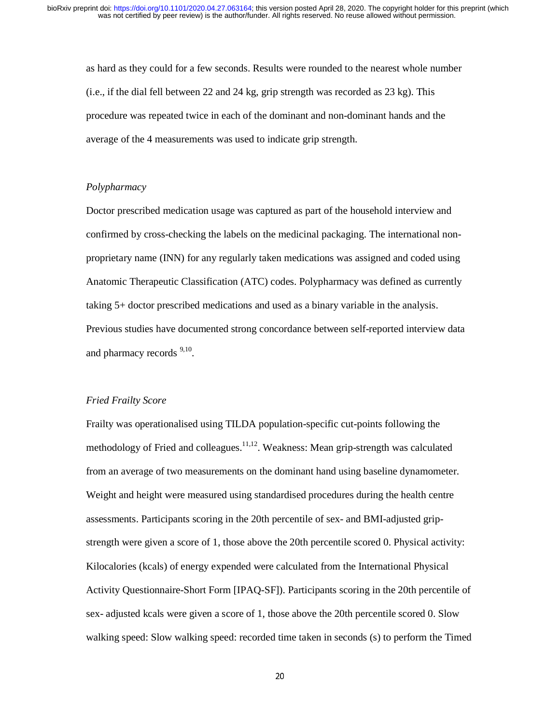as hard as they could for a few seconds. Results were rounded to the nearest whole number (i.e., if the dial fell between 22 and 24 kg, grip strength was recorded as 23 kg). This procedure was repeated twice in each of the dominant and non-dominant hands and the average of the 4 measurements was used to indicate grip strength.

#### *Polypharmacy*

Doctor prescribed medication usage was captured as part of the household interview and confirmed by cross-checking the labels on the medicinal packaging. The international nonproprietary name (INN) for any regularly taken medications was assigned and coded using Anatomic Therapeutic Classification (ATC) codes. Polypharmacy was defined as currently taking 5+ doctor prescribed medications and used as a binary variable in the analysis. Previous studies have documented strong concordance between self-reported interview data and pharmacy records <sup>9,10</sup>.

#### *Fried Frailty Score*

Frailty was operationalised using TILDA population-specific cut-points following the methodology of Fried and colleagues. $11,12$ . Weakness: Mean grip-strength was calculated from an average of two measurements on the dominant hand using baseline dynamometer. Weight and height were measured using standardised procedures during the health centre assessments. Participants scoring in the 20th percentile of sex- and BMI-adjusted gripstrength were given a score of 1, those above the 20th percentile scored 0. Physical activity: Kilocalories (kcals) of energy expended were calculated from the International Physical Activity Questionnaire-Short Form [IPAQ-SF]). Participants scoring in the 20th percentile of sex- adjusted kcals were given a score of 1, those above the 20th percentile scored 0. Slow walking speed: Slow walking speed: recorded time taken in seconds (s) to perform the Timed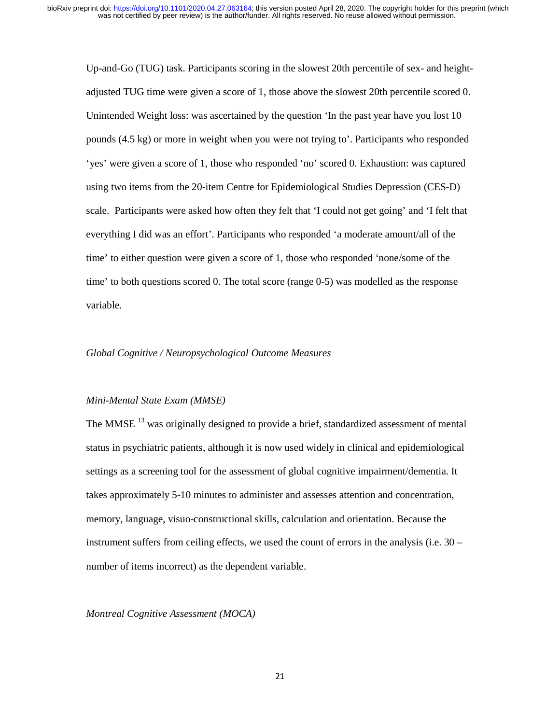Up-and-Go (TUG) task. Participants scoring in the slowest 20th percentile of sex- and heightadjusted TUG time were given a score of 1, those above the slowest 20th percentile scored 0. Unintended Weight loss: was ascertained by the question 'In the past year have you lost 10 pounds (4.5 kg) or more in weight when you were not trying to'. Participants who responded 'yes' were given a score of 1, those who responded 'no' scored 0. Exhaustion: was captured using two items from the 20-item Centre for Epidemiological Studies Depression (CES-D) scale. Participants were asked how often they felt that 'I could not get going' and 'I felt that everything I did was an effort'. Participants who responded 'a moderate amount/all of the time' to either question were given a score of 1, those who responded 'none/some of the time' to both questions scored 0. The total score (range 0-5) was modelled as the response variable.

#### *Global Cognitive / Neuropsychological Outcome Measures*

#### *Mini-Mental State Exam (MMSE)*

The MMSE<sup>13</sup> was originally designed to provide a brief, standardized assessment of mental status in psychiatric patients, although it is now used widely in clinical and epidemiological settings as a screening tool for the assessment of global cognitive impairment/dementia. It takes approximately 5-10 minutes to administer and assesses attention and concentration, memory, language, visuo-constructional skills, calculation and orientation. Because the instrument suffers from ceiling effects, we used the count of errors in the analysis (i.e. 30 – number of items incorrect) as the dependent variable.

#### *Montreal Cognitive Assessment (MOCA)*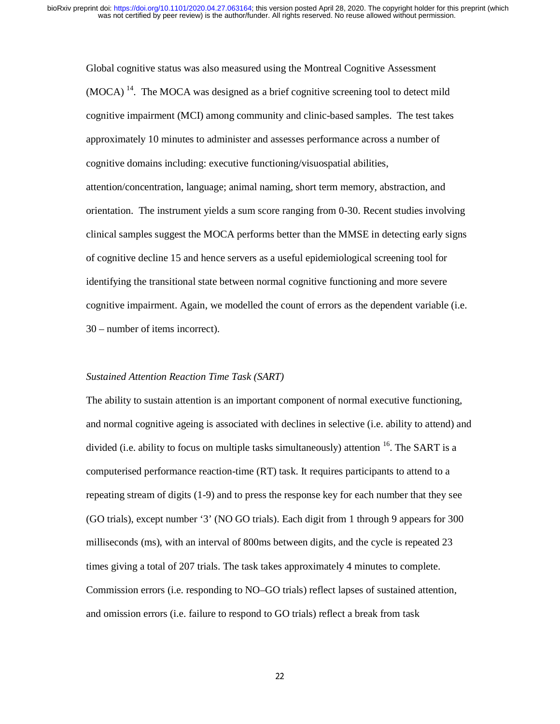Global cognitive status was also measured using the Montreal Cognitive Assessment  $(MOCA)$ <sup>14</sup>. The MOCA was designed as a brief cognitive screening tool to detect mild cognitive impairment (MCI) among community and clinic-based samples. The test takes approximately 10 minutes to administer and assesses performance across a number of cognitive domains including: executive functioning/visuospatial abilities, attention/concentration, language; animal naming, short term memory, abstraction, and orientation. The instrument yields a sum score ranging from 0-30. Recent studies involving clinical samples suggest the MOCA performs better than the MMSE in detecting early signs of cognitive decline 15 and hence servers as a useful epidemiological screening tool for identifying the transitional state between normal cognitive functioning and more severe cognitive impairment. Again, we modelled the count of errors as the dependent variable (i.e. 30 – number of items incorrect).

#### *Sustained Attention Reaction Time Task (SART)*

The ability to sustain attention is an important component of normal executive functioning, and normal cognitive ageing is associated with declines in selective (i.e. ability to attend) and divided (i.e. ability to focus on multiple tasks simultaneously) attention  $16$ . The SART is a computerised performance reaction-time (RT) task. It requires participants to attend to a repeating stream of digits (1-9) and to press the response key for each number that they see (GO trials), except number '3' (NO GO trials). Each digit from 1 through 9 appears for 300 milliseconds (ms), with an interval of 800ms between digits, and the cycle is repeated 23 times giving a total of 207 trials. The task takes approximately 4 minutes to complete. Commission errors (i.e. responding to NO–GO trials) reflect lapses of sustained attention, and omission errors (i.e. failure to respond to GO trials) reflect a break from task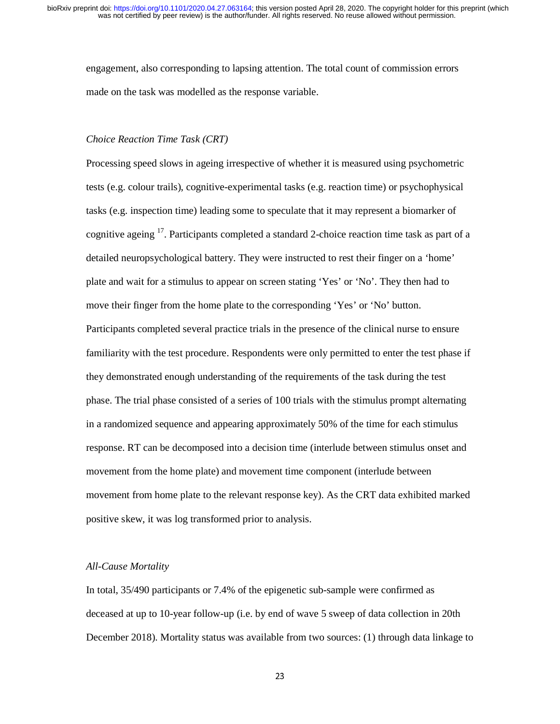engagement, also corresponding to lapsing attention. The total count of commission errors made on the task was modelled as the response variable.

#### *Choice Reaction Time Task (CRT)*

Processing speed slows in ageing irrespective of whether it is measured using psychometric tests (e.g. colour trails), cognitive-experimental tasks (e.g. reaction time) or psychophysical tasks (e.g. inspection time) leading some to speculate that it may represent a biomarker of cognitive ageing <sup>17</sup>. Participants completed a standard 2-choice reaction time task as part of a detailed neuropsychological battery. They were instructed to rest their finger on a 'home' plate and wait for a stimulus to appear on screen stating 'Yes' or 'No'. They then had to move their finger from the home plate to the corresponding 'Yes' or 'No' button. Participants completed several practice trials in the presence of the clinical nurse to ensure familiarity with the test procedure. Respondents were only permitted to enter the test phase if they demonstrated enough understanding of the requirements of the task during the test phase. The trial phase consisted of a series of 100 trials with the stimulus prompt alternating in a randomized sequence and appearing approximately 50% of the time for each stimulus response. RT can be decomposed into a decision time (interlude between stimulus onset and movement from the home plate) and movement time component (interlude between movement from home plate to the relevant response key). As the CRT data exhibited marked positive skew, it was log transformed prior to analysis.

#### *All-Cause Mortality*

In total, 35/490 participants or 7.4% of the epigenetic sub-sample were confirmed as deceased at up to 10-year follow-up (i.e. by end of wave 5 sweep of data collection in 20th December 2018). Mortality status was available from two sources: (1) through data linkage to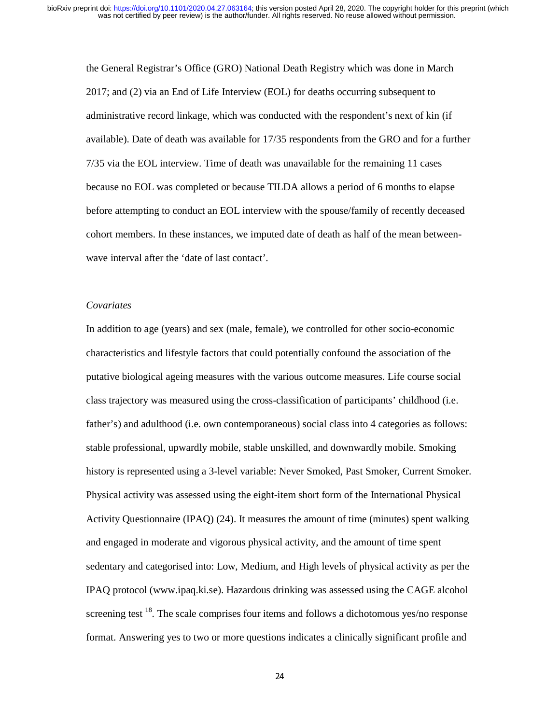the General Registrar's Office (GRO) National Death Registry which was done in March 2017; and (2) via an End of Life Interview (EOL) for deaths occurring subsequent to administrative record linkage, which was conducted with the respondent's next of kin (if available). Date of death was available for 17/35 respondents from the GRO and for a further 7/35 via the EOL interview. Time of death was unavailable for the remaining 11 cases because no EOL was completed or because TILDA allows a period of 6 months to elapse before attempting to conduct an EOL interview with the spouse/family of recently deceased cohort members. In these instances, we imputed date of death as half of the mean betweenwave interval after the 'date of last contact'.

#### *Covariates*

In addition to age (years) and sex (male, female), we controlled for other socio-economic characteristics and lifestyle factors that could potentially confound the association of the putative biological ageing measures with the various outcome measures. Life course social class trajectory was measured using the cross-classification of participants' childhood (i.e. father's) and adulthood (i.e. own contemporaneous) social class into 4 categories as follows: stable professional, upwardly mobile, stable unskilled, and downwardly mobile. Smoking history is represented using a 3-level variable: Never Smoked, Past Smoker, Current Smoker. Physical activity was assessed using the eight-item short form of the International Physical Activity Questionnaire (IPAQ) (24). It measures the amount of time (minutes) spent walking and engaged in moderate and vigorous physical activity, and the amount of time spent sedentary and categorised into: Low, Medium, and High levels of physical activity as per the IPAQ protocol (www.ipaq.ki.se). Hazardous drinking was assessed using the CAGE alcohol screening test  $18$ . The scale comprises four items and follows a dichotomous yes/no response format. Answering yes to two or more questions indicates a clinically significant profile and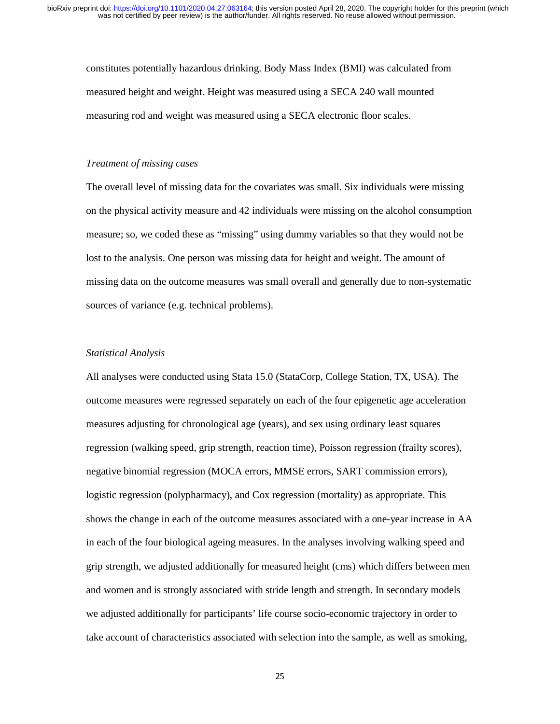constitutes potentially hazardous drinking. Body Mass Index (BMI) was calculated from measured height and weight. Height was measured using a SECA 240 wall mounted measuring rod and weight was measured using a SECA electronic floor scales.

#### *Treatment of missing cases*

The overall level of missing data for the covariates was small. Six individuals were missing on the physical activity measure and 42 individuals were missing on the alcohol consumption measure; so, we coded these as "missing" using dummy variables so that they would not be lost to the analysis. One person was missing data for height and weight. The amount of missing data on the outcome measures was small overall and generally due to non-systematic sources of variance (e.g. technical problems).

#### *Statistical Analysis*

All analyses were conducted using Stata 15.0 (StataCorp, College Station, TX, USA). The outcome measures were regressed separately on each of the four epigenetic age acceleration measures adjusting for chronological age (years), and sex using ordinary least squares regression (walking speed, grip strength, reaction time), Poisson regression (frailty scores), negative binomial regression (MOCA errors, MMSE errors, SART commission errors), logistic regression (polypharmacy), and Cox regression (mortality) as appropriate. This shows the change in each of the outcome measures associated with a one-year increase in AA in each of the four biological ageing measures. In the analyses involving walking speed and grip strength, we adjusted additionally for measured height (cms) which differs between men and women and is strongly associated with stride length and strength. In secondary models we adjusted additionally for participants' life course socio-economic trajectory in order to take account of characteristics associated with selection into the sample, as well as smoking,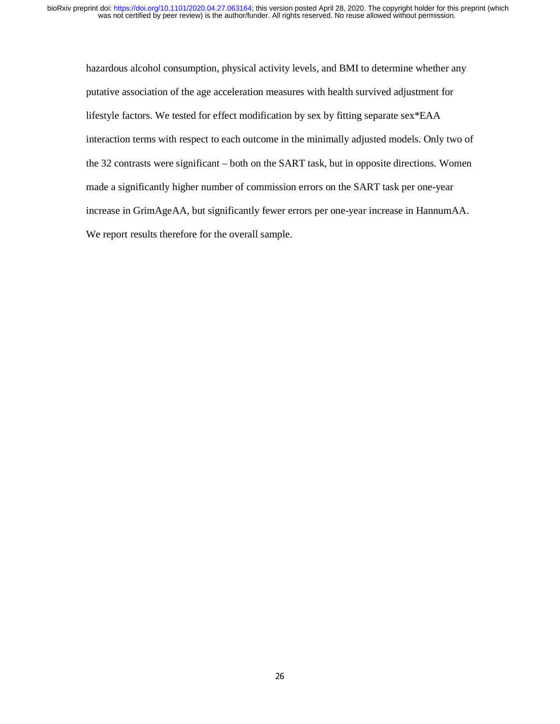hazardous alcohol consumption, physical activity levels, and BMI to determine whether any putative association of the age acceleration measures with health survived adjustment for lifestyle factors. We tested for effect modification by sex by fitting separate sex\*EAA interaction terms with respect to each outcome in the minimally adjusted models. Only two of the 32 contrasts were significant – both on the SART task, but in opposite directions. Women made a significantly higher number of commission errors on the SART task per one-year increase in GrimAgeAA, but significantly fewer errors per one-year increase in HannumAA. We report results therefore for the overall sample.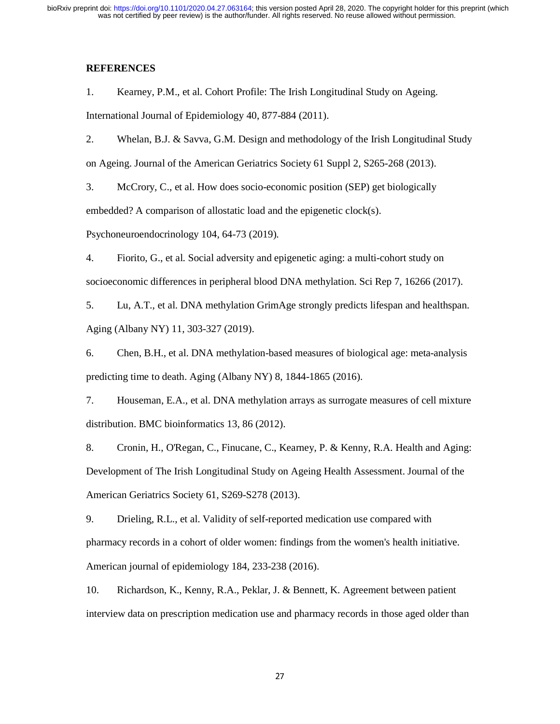# **REFERENCES**

1. Kearney, P.M., et al. Cohort Profile: The Irish Longitudinal Study on Ageing. International Journal of Epidemiology 40, 877-884 (2011).

2. Whelan, B.J. & Savva, G.M. Design and methodology of the Irish Longitudinal Study on Ageing. Journal of the American Geriatrics Society 61 Suppl 2, S265-268 (2013).

3. McCrory, C., et al. How does socio-economic position (SEP) get biologically embedded? A comparison of allostatic load and the epigenetic clock(s).

Psychoneuroendocrinology 104, 64-73 (2019).

4. Fiorito, G., et al. Social adversity and epigenetic aging: a multi-cohort study on socioeconomic differences in peripheral blood DNA methylation. Sci Rep 7, 16266 (2017).

5. Lu, A.T., et al. DNA methylation GrimAge strongly predicts lifespan and healthspan. Aging (Albany NY) 11, 303-327 (2019).

6. Chen, B.H., et al. DNA methylation-based measures of biological age: meta-analysis predicting time to death. Aging (Albany NY) 8, 1844-1865 (2016).

7. Houseman, E.A., et al. DNA methylation arrays as surrogate measures of cell mixture distribution. BMC bioinformatics 13, 86 (2012).

8. Cronin, H., O'Regan, C., Finucane, C., Kearney, P. & Kenny, R.A. Health and Aging: Development of The Irish Longitudinal Study on Ageing Health Assessment. Journal of the American Geriatrics Society 61, S269-S278 (2013).

9. Drieling, R.L., et al. Validity of self-reported medication use compared with pharmacy records in a cohort of older women: findings from the women's health initiative. American journal of epidemiology 184, 233-238 (2016).

10. Richardson, K., Kenny, R.A., Peklar, J. & Bennett, K. Agreement between patient interview data on prescription medication use and pharmacy records in those aged older than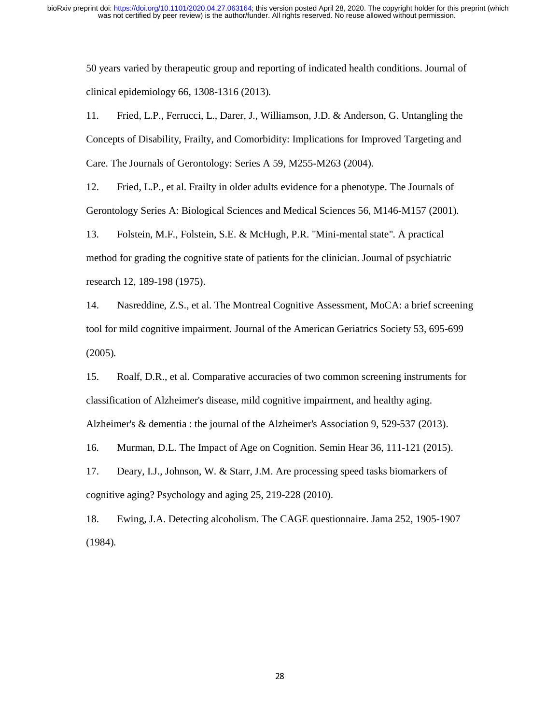50 years varied by therapeutic group and reporting of indicated health conditions. Journal of clinical epidemiology 66, 1308-1316 (2013).

11. Fried, L.P., Ferrucci, L., Darer, J., Williamson, J.D. & Anderson, G. Untangling the Concepts of Disability, Frailty, and Comorbidity: Implications for Improved Targeting and Care. The Journals of Gerontology: Series A 59, M255-M263 (2004).

12. Fried, L.P., et al. Frailty in older adults evidence for a phenotype. The Journals of Gerontology Series A: Biological Sciences and Medical Sciences 56, M146-M157 (2001).

13. Folstein, M.F., Folstein, S.E. & McHugh, P.R. "Mini-mental state". A practical method for grading the cognitive state of patients for the clinician. Journal of psychiatric research 12, 189-198 (1975).

14. Nasreddine, Z.S., et al. The Montreal Cognitive Assessment, MoCA: a brief screening tool for mild cognitive impairment. Journal of the American Geriatrics Society 53, 695-699 (2005).

15. Roalf, D.R., et al. Comparative accuracies of two common screening instruments for classification of Alzheimer's disease, mild cognitive impairment, and healthy aging. Alzheimer's & dementia : the journal of the Alzheimer's Association 9, 529-537 (2013).

16. Murman, D.L. The Impact of Age on Cognition. Semin Hear 36, 111-121 (2015).

17. Deary, I.J., Johnson, W. & Starr, J.M. Are processing speed tasks biomarkers of cognitive aging? Psychology and aging 25, 219-228 (2010).

18. Ewing, J.A. Detecting alcoholism. The CAGE questionnaire. Jama 252, 1905-1907 (1984).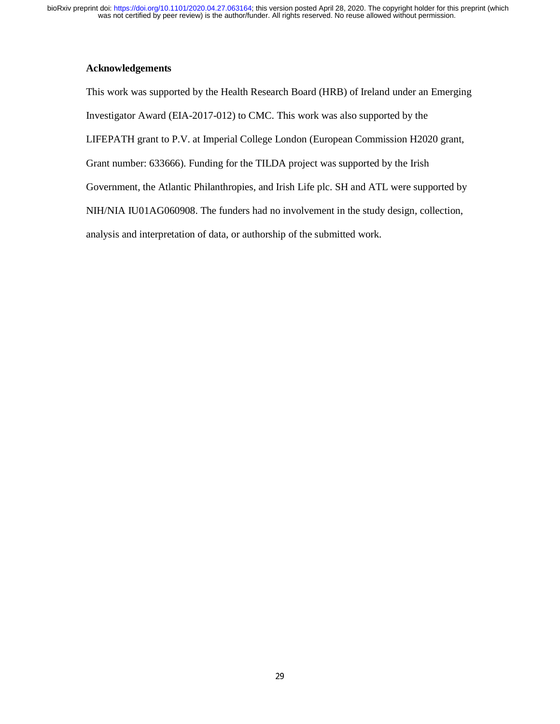# **Acknowledgements**

This work was supported by the Health Research Board (HRB) of Ireland under an Emerging Investigator Award (EIA-2017-012) to CMC. This work was also supported by the LIFEPATH grant to P.V. at Imperial College London (European Commission H2020 grant, Grant number: 633666). Funding for the TILDA project was supported by the Irish Government, the Atlantic Philanthropies, and Irish Life plc. SH and ATL were supported by NIH/NIA IU01AG060908. The funders had no involvement in the study design, collection, analysis and interpretation of data, or authorship of the submitted work.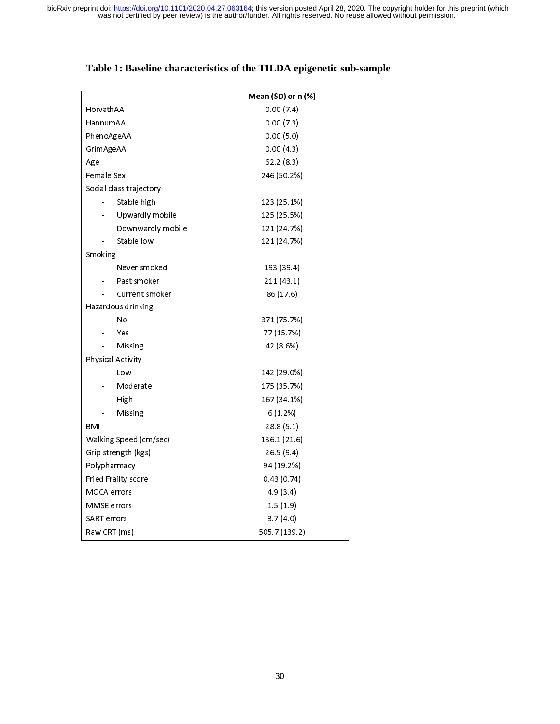|                         | Mean (SD) or n (%) |  |  |  |  |
|-------------------------|--------------------|--|--|--|--|
| HorvathAA               | 0.00(7.4)          |  |  |  |  |
| HannumAA                | 0.00(7.3)          |  |  |  |  |
| PhenoAgeAA              | 0.00(5.0)          |  |  |  |  |
| GrimAgeAA               | 0.00(4.3)          |  |  |  |  |
| Age                     | 62.2(8.3)          |  |  |  |  |
| Female Sex              | 246 (50.2%)        |  |  |  |  |
| Social class trajectory |                    |  |  |  |  |
| Stable high             | 123 (25.1%)        |  |  |  |  |
| Upwardly mobile         | 125 (25.5%)        |  |  |  |  |
| Downwardly mobile       | 121 (24.7%)        |  |  |  |  |
| Stable low              | 121 (24.7%)        |  |  |  |  |
| Smoking                 |                    |  |  |  |  |
| Never smoked            | 193 (39.4)         |  |  |  |  |
| Past smoker             | 211 (43.1)         |  |  |  |  |
| Current smoker          | 86 (17.6)          |  |  |  |  |
| Hazardous drinking      |                    |  |  |  |  |
| No                      | 371 (75.7%)        |  |  |  |  |
| Yes                     | 77 (15.7%)         |  |  |  |  |
| Missing                 | 42 (8.6%)          |  |  |  |  |
| Physical Activity       |                    |  |  |  |  |
| Low                     | 142 (29.0%)        |  |  |  |  |
| Moderate                | 175 (35.7%)        |  |  |  |  |
| High<br>-               | 167 (34.1%)        |  |  |  |  |
| Missing<br>$\sim$       | 6(1.2%)            |  |  |  |  |
| BMI                     | 28.8(5.1)          |  |  |  |  |
| Walking Speed (cm/sec)  | 136.1 (21.6)       |  |  |  |  |
| Grip strength (kgs)     | 26.5(9.4)          |  |  |  |  |
| Polypharmacy            | 94 (19.2%)         |  |  |  |  |
| Fried Frailty score     | 0.43(0.74)         |  |  |  |  |
| <b>MOCA</b> errors      | 4.9(3.4)           |  |  |  |  |
| <b>MMSE</b> errors      | 1.5(1.9)           |  |  |  |  |
| <b>SART</b> errors      | 3.7(4.0)           |  |  |  |  |
| Raw CRT (ms)            | 505.7 (139.2)      |  |  |  |  |

# **Table 1: Baseline characteristics of the TILDA epigenetic sub-sample**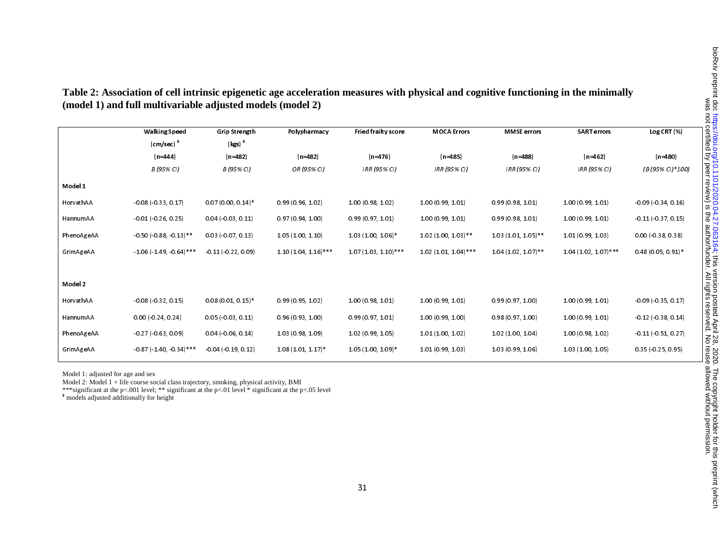|            | <b>Walking Speed</b>       | <b>Grip Strength</b>       | Polypharmacy           | Fried frailty score    | <b>MOCA Errors</b>    | <b>MMSE</b> errors    | <b>SART</b> errors     | Log CRT(%)                 |
|------------|----------------------------|----------------------------|------------------------|------------------------|-----------------------|-----------------------|------------------------|----------------------------|
|            | $\text{(cm/sec)}$          | $(kgs)^*$                  |                        |                        |                       |                       |                        |                            |
|            | $(n=444)$                  | $(n=482)$                  | $(n=482)$              | $(n=476)$              | $(n=485)$             | $(n=488)$             | $(n=462)$              | $(n=480)$                  |
|            | B (95% CI)                 | B (95% C)                  | OR (95% CI)            | IRR (95% CI)           | IRR (95% CI)          | IRR (95% CI)          | IRR (95% CI)           | (B (95% CI)*100)           |
| Model 1    |                            |                            |                        |                        |                       |                       |                        |                            |
| HorvathAA  | $-0.08(-0.33, 0.17)$       | $0.07(0.00, 0.14)$ *       | 0.99(0.96, 1.02)       | 100 (0.98, 1.02)       | 1.00 (0.99, 1.01)     | 0.99(0.98, 1.01)      | 1.00 (0.99, 1.01)      | $-0.09$ ( $-0.34$ , 0.16)  |
| HannumAA   | $-0.01 (-0.26, 0.25)$      | $0.04$ ( $0.03$ , $0.11$ ) | 0.97(0.94, 1.00)       | 0.99(0.97, 1.01)       | 1.00 (0.99, 1.01)     | 0.99(0.98, 1.01)      | 1.00 (0.99, 1.01)      | $-0.11(-0.37, 0.15)$       |
| PhenoAgeAA | $0.50 (-0.88 - 0.13)$ **   | $0.03$ ( $0.07$ , $0.13$ ) | 1 05 (1 00, 1 10)      | 103 (100, 106)*        | $1.02(1.00, 1.03)$ ** | $103(101, 105)$ **    | 1.01(0.99, 1.03)       | $0.00$ ( $0.38$ , $0.38$ ) |
| GrimAgeAA  | $106(149.064)$ ***         | $-0.11(-0.22, 0.09)$       | $1.10(1.04, 1.16)$ *** | $1.07(1.03, 1.10)$ *** | $102(101, 104)$ ***   | $1.04(1.02, 1.07)$ ** | $1.04(1.02, 1.07)$ *** | $0.48(0.05, 0.91)^*$       |
|            |                            |                            |                        |                        |                       |                       |                        |                            |
| Model 2    |                            |                            |                        |                        |                       |                       |                        |                            |
| HorvathAA  | 0.08(0.32, 0.15)           | $0.08(0.01, 0.15)^*$       | 0.99(0.95, 1.02)       | 100 (0.98, 1.01)       | 1.00 (0.99, 1.01)     | 0.99(0.97, 1.00)      | 1.00 (0.99, 1.01)      | $-0.09$ ( $0.35$ , 0.17)   |
| HannumAA   | $0.00$ ( $0.24$ , $0.24$ ) | 0.05(0.03, 0.11)           | 0.96(0.93, 1.00)       | 0.99(0.97, 1.01)       | 1.00 (0.99, 1.00)     | 0.98(0.97, 1.00)      | 1.00 (0.99, 1.01)      | $-0.12$ ( $0.38$ , 0.14)   |
| PhenoAgeAA | 0.27(0.63, 0.09)           | $0.04$ ( $0.06$ , $0.14$ ) | 103 (0.98, 1.09)       | 102 (0.99, 1.05)       | 101(100, 102)         | 102 (100, 104)        | 100 (098, 102)         | $-0.11(-0.51, 0.27)$       |
| GrimAgeAA  | $0.87$ (140, 0.34)***      | $-0.04$ (0.19, 0.12)       | $1.08(1.01, 1.17)^*$   | $1.05(1.00, 1.09)^*$   | 1.01 (0.99, 1.03)     | 103 (0.99, 1.06)      | 1.03 (1.00, 1.05)      | $0.35$ ( $0.25$ , $0.95$ ) |

**Table 2: Association of cell intrinsic epigenetic age acceleration measures with physical and cognitive functioning in the minimally (model 1) and full multivariable adjusted models (model 2)** 

Model 1: adjusted for age and sex

Model 2: Model 1 + life course social class trajectory, smoking, physical activity, BMI

\*\*\*significant at the p<.001 level; \*\* significant at the p<.01 level \* significant at the p<.05 level **¥** models adjusted additionally for height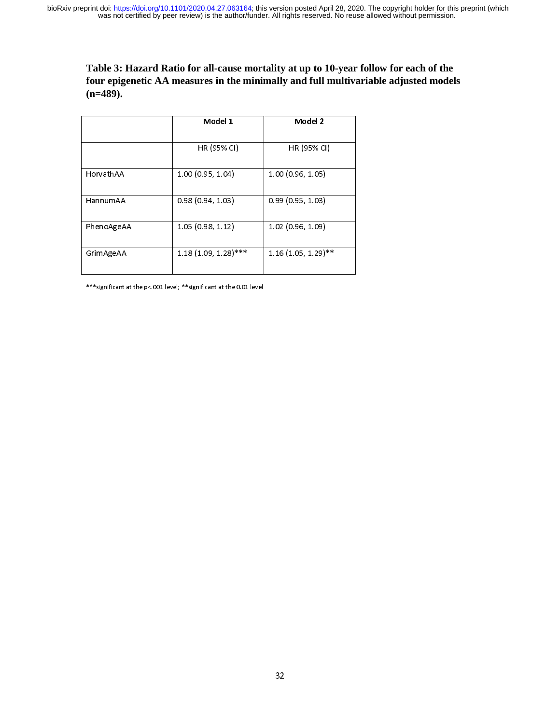**Table 3: Hazard Ratio for all-cause mortality at up to 10-year follow for each of the four epigenetic AA measures in the minimally and full multivariable adjusted models (n=489).** 

|            | Model 1                | Model 2               |  |  |
|------------|------------------------|-----------------------|--|--|
|            | HR (95% CI)            | HR (95% CI)           |  |  |
| HorvathAA  | 1.00 (0.95, 1.04)      | 1.00(0.96, 1.05)      |  |  |
| HannumAA   | 0.98(0.94, 1.03)       | 0.99(0.95, 1.03)      |  |  |
| PhenoAgeAA | 1.05(0.98, 1.12)       | 1.02 (0.96, 1.09)     |  |  |
| GrimAgeAA  | $1.18(1.09, 1.28)$ *** | $1.16(1.05, 1.29)$ ** |  |  |

j  $*$ significant at the p $*$ .001 level;  $*$ significant at the 0.01 level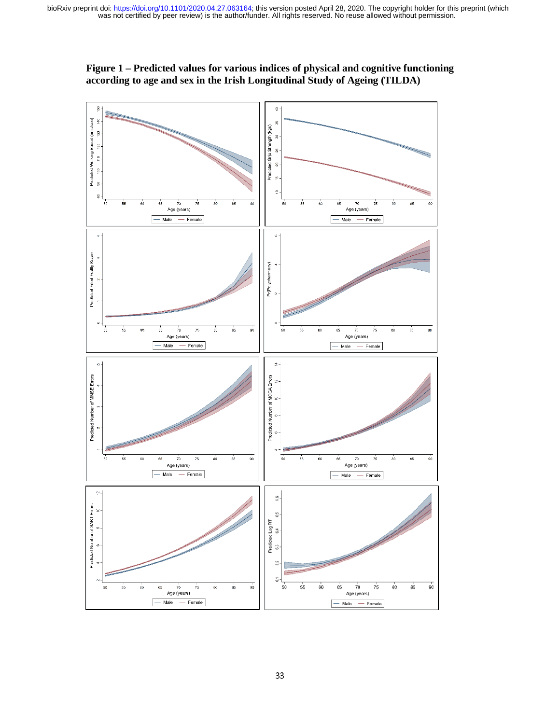

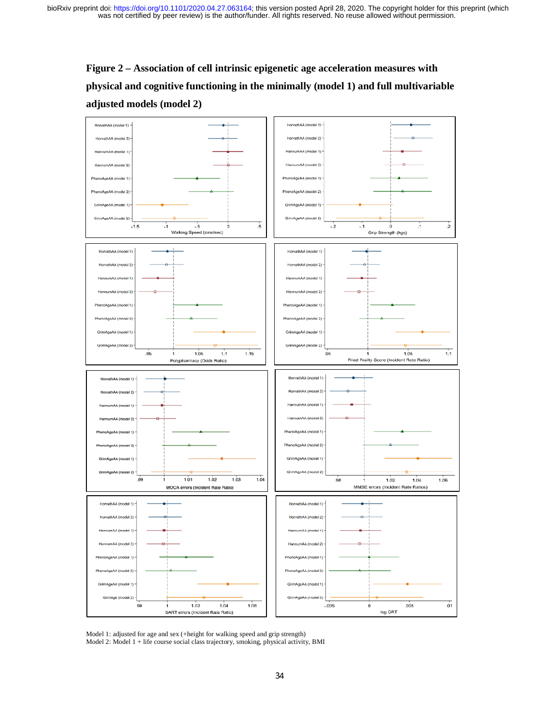# **Figure 2 – Association of cell intrinsic epigenetic age acceleration measures with physical and cognitive functioning in the minimally (model 1) and full multivariable adjusted models (model 2)**



Model 1: adjusted for age and sex (+height for walking speed and grip strength) Model 2: Model 1 + life course social class trajectory, smoking, physical activity, BMI